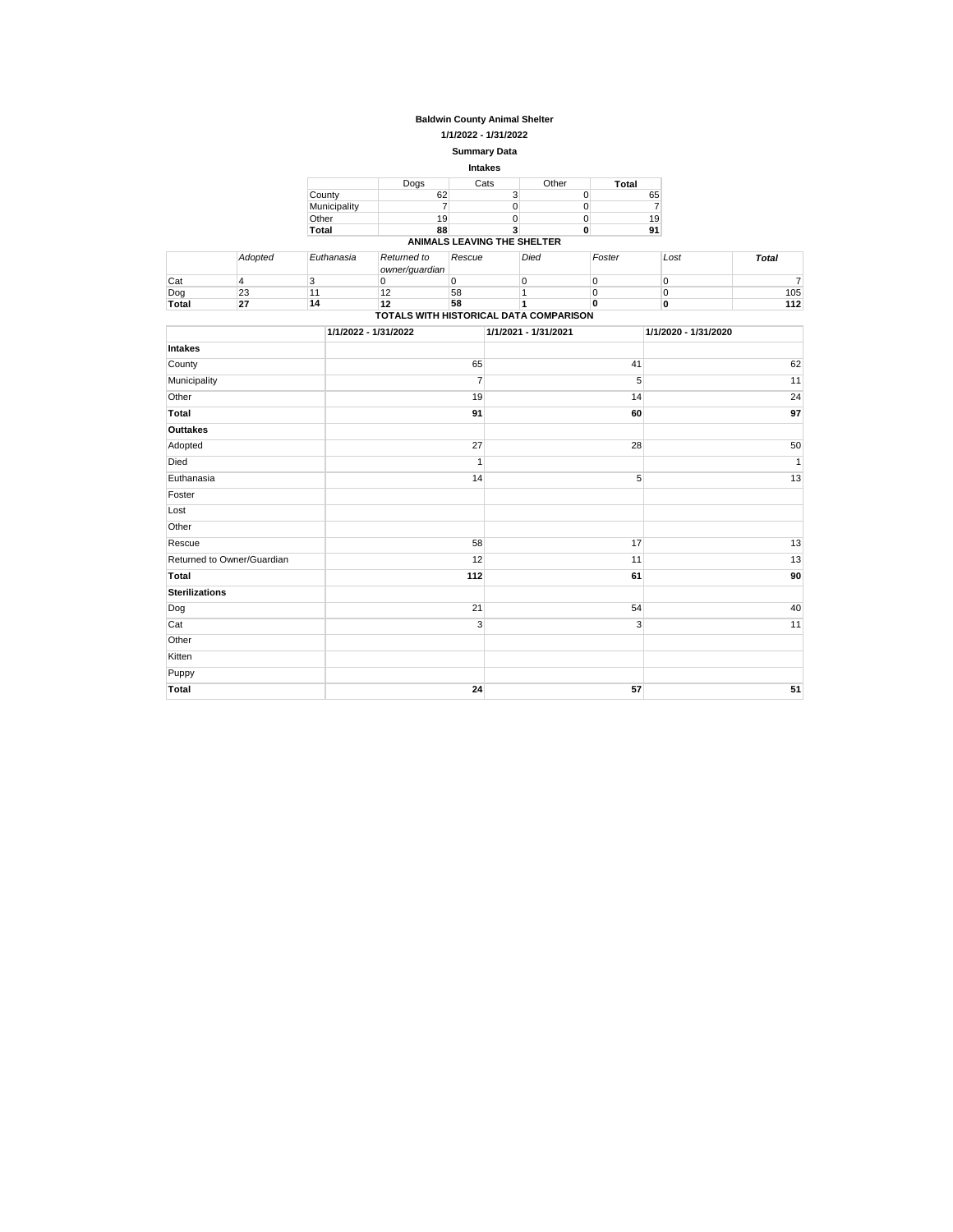## **Baldwin County Animal Shelter**

**1/1/2022 - 1/31/2022**

### **Summary Data**

|              |      | <b>Intakes</b>              |       |       |
|--------------|------|-----------------------------|-------|-------|
|              | Dogs | Cats                        | Other | Total |
| County       | 62   | 3                           | 0     | 65    |
| Municipality |      |                             | 0     |       |
| Other        | 19   |                             | 0     | 19    |
| Total        | 88   |                             | 0     | 91    |
|              |      | ANIMALS LEAVING THE SHELTER |       |       |

|                                        | Adopted | Euthanasia | Returned to    | Rescue | Died | Foster | Lost | Total |
|----------------------------------------|---------|------------|----------------|--------|------|--------|------|-------|
|                                        |         |            | owner/quardian |        |      |        |      |       |
| Cat                                    |         |            |                |        |      |        |      |       |
| Dog                                    | 23      |            | ے ا            | 58     |      |        |      | 105   |
| Total                                  | 27      | 14         | 12             | 58     |      |        |      | 112   |
| TOTALS WITH HISTORICAL DATA COMPARISON |         |            |                |        |      |        |      |       |

|                            | 1/1/2022 - 1/31/2022 | 1/1/2021 - 1/31/2021 | 1/1/2020 - 1/31/2020 |
|----------------------------|----------------------|----------------------|----------------------|
| Intakes                    |                      |                      |                      |
| County                     | 65                   | 41                   | 62                   |
| Municipality               | $\overline{7}$       | 5                    | 11                   |
| Other                      | 19                   | 14                   | 24                   |
| Total                      | 91                   | 60                   | 97                   |
| Outtakes                   |                      |                      |                      |
| Adopted                    | 27                   | 28                   | 50                   |
| Died                       | $\overline{1}$       |                      | $\mathbf{1}$         |
| Euthanasia                 | 14                   | 5                    | 13                   |
| Foster                     |                      |                      |                      |
| Lost                       |                      |                      |                      |
| Other                      |                      |                      |                      |
| Rescue                     | 58                   | 17                   | 13                   |
| Returned to Owner/Guardian | 12                   | 11                   | 13                   |
| Total                      | 112                  | 61                   | 90                   |
| <b>Sterilizations</b>      |                      |                      |                      |
| Dog                        | 21                   | 54                   | 40                   |
| Cat                        | 3                    | 3                    | 11                   |
| Other                      |                      |                      |                      |
| Kitten                     |                      |                      |                      |
| Puppy                      |                      |                      |                      |
| Total                      | 24                   | 57                   | 51                   |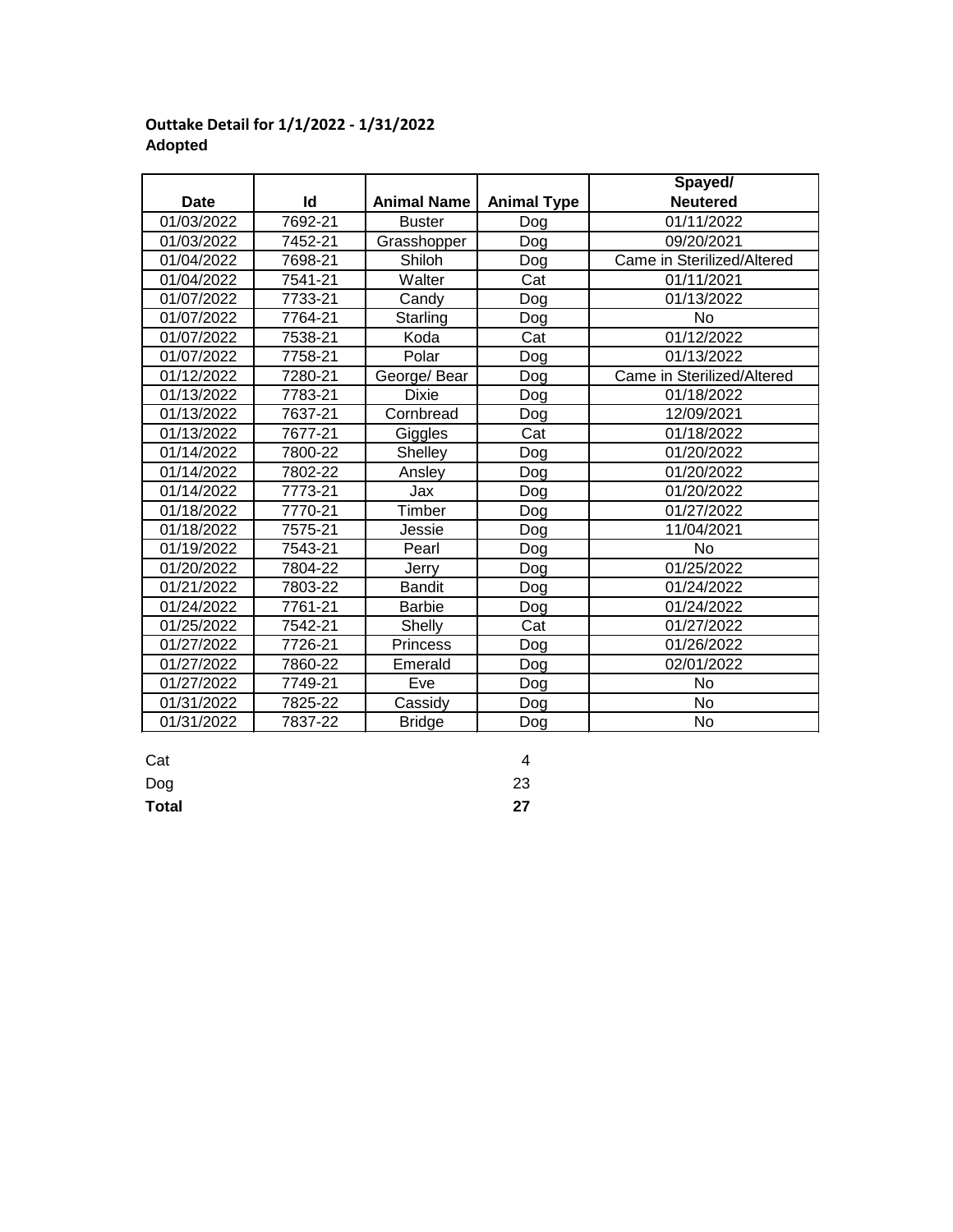### **Date Id Spayed/ Neutered** 01/03/2022 7692-21 Buster Dog 01/11/2022 01/03/2022 | 7452-21 | Grasshopper | Dog | 09/20/2021 01/04/2022 | 7698-21 | Shiloh | Dog | Came in Sterilized/Altered 01/04/2022 | 7541-21 | Walter | Cat | 01/11/2021 01/07/2022 7733-21 Candy Dog 01/13/2022 01/07/2022 7764-21 Starling Dog No 01/07/2022 7538-21 Koda Cat | 01/12/2022 01/07/2022 | 7758-21 | Polar | Dog | 01/13/2022 01/12/2022 7280-21 George/ Bear Dog Came in Sterilized/Altered 01/13/2022 7783-21 Dixie Dog 01/18/2022 01/13/2022 | 7637-21 | Cornbread | Dog | 12/09/2021 01/13/2022 7677-21 | Giggles | Cat | 01/18/2022 01/14/2022 | 7800-22 | Shelley | Dog | 01/20/2022 01/14/2022 | 7802-22 | Ansley | Dog | 01/20/2022 01/14/2022 7773-21 Jax Dog 01/20/2022 01/18/2022 7770-21 Timber Dog 101/27/2022 01/18/2022 7575-21 Jessie Dog 11/04/2021 01/19/2022 | 7543-21 | Pearl | Dog | No 01/20/2022 7804-22 Jerry Dog 01/25/2022 01/21/2022 | 7803-22 | Bandit | Dog | 01/24/2022 01/24/2022 7761-21 Barbie Dog 01/24/2022 01/25/2022 7542-21 Shelly Cat 01/27/2022 01/27/2022 | 7726-21 | Princess | Dog | 01/26/2022 01/27/2022 | 7860-22 | Emerald | Dog | 02/01/2022 01/27/2022 7749-21 Eve Dog No 01/31/2022 | 7825-22 | Cassidy | Dog | No 01/31/2022 | 7837-22 | Bridge | Dog | No Dog Cassidy Bridge Shelly Princess Emerald Jerry Bandit Barbie Timber Jessie Pearl Shelley Ansley Dog Dixie Cornbread Giggles Koda Polar George/ Bear Walter Candy Starling Buster Shiloh **Animal Name Animal Type**

# **Outtake Detail for 1/1/2022 - 1/31/2022 Adopted**

Cat 4

Dog 23

**Total 27**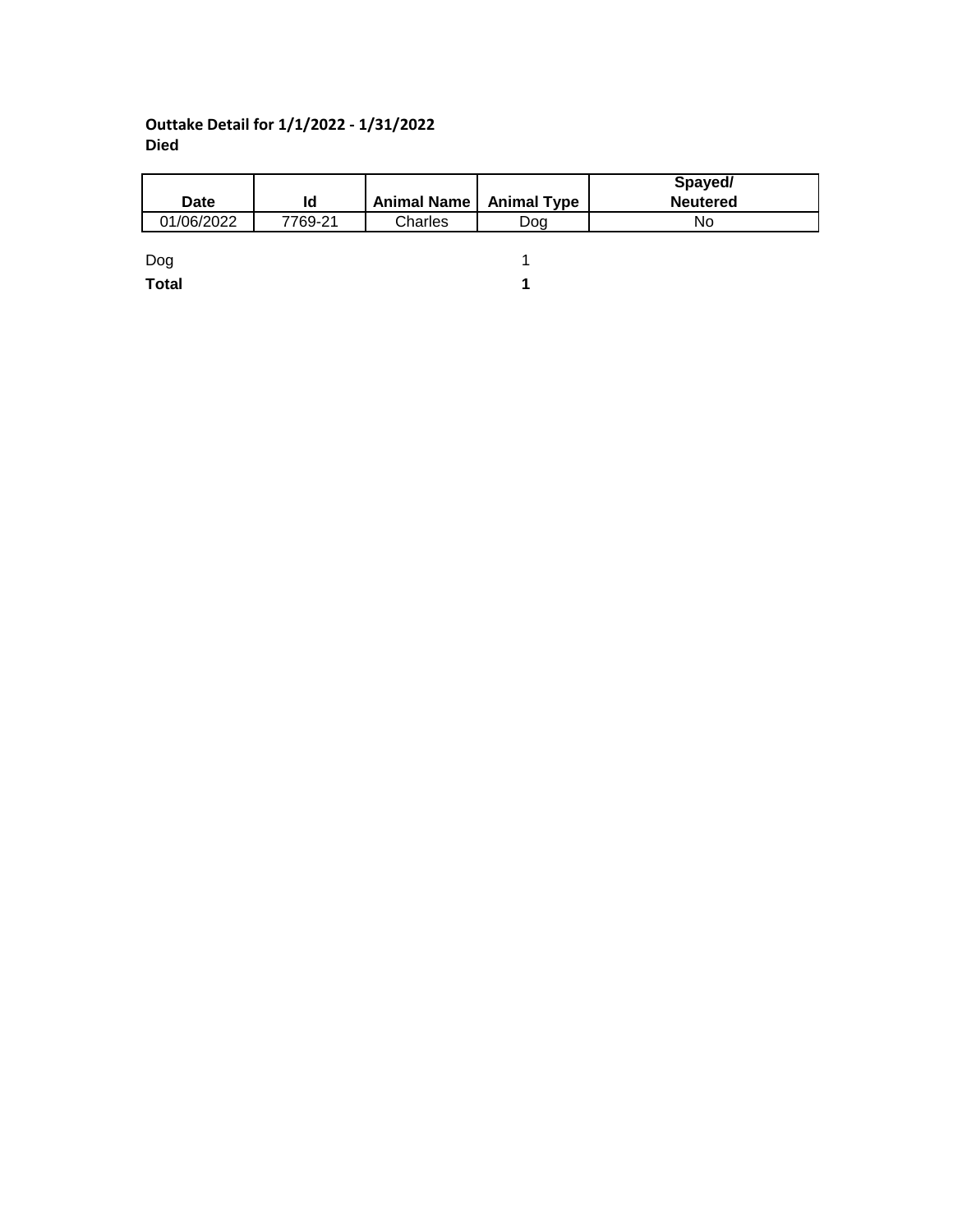# **Outtake Detail for 1/1/2022 - 1/31/2022 Died**

|              |         |                           |     | Spayed/         |
|--------------|---------|---------------------------|-----|-----------------|
| <b>Date</b>  | ld      | Animal Name   Animal Type |     | <b>Neutered</b> |
| 01/06/2022   | 7769-21 | Charles                   | Doa | No              |
|              |         |                           |     |                 |
| Dog          |         |                           |     |                 |
| <b>Total</b> |         |                           |     |                 |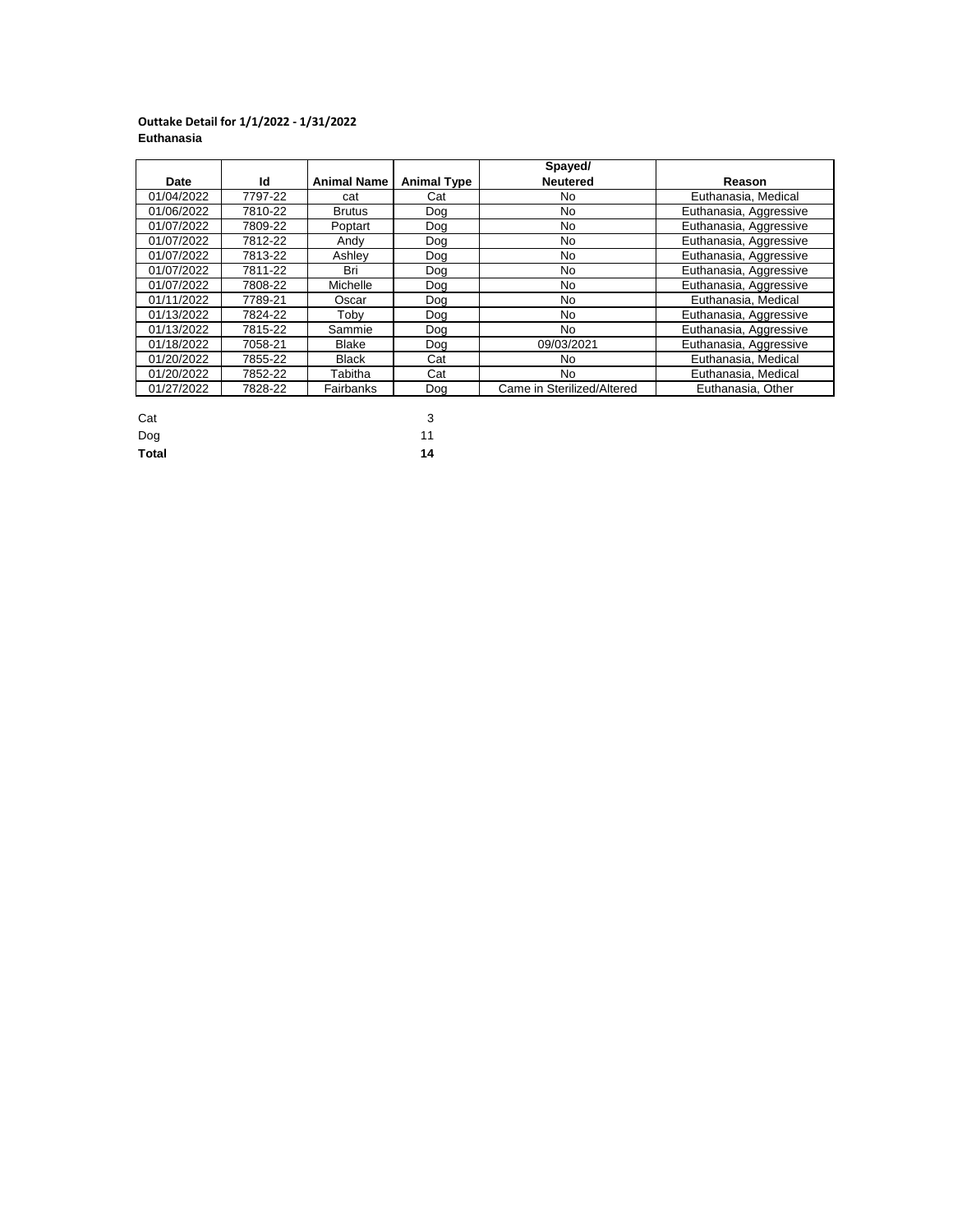### **Outtake Detail for 1/1/2022 - 1/31/2022 Euthanasia**

|            |         |                    |                    | Spayed/                    |                        |
|------------|---------|--------------------|--------------------|----------------------------|------------------------|
| Date       | Ιd      | <b>Animal Name</b> | <b>Animal Type</b> | <b>Neutered</b>            | Reason                 |
| 01/04/2022 | 7797-22 | cat                | Cat                | No                         | Euthanasia, Medical    |
| 01/06/2022 | 7810-22 | <b>Brutus</b>      | Dog                | No                         | Euthanasia, Aggressive |
| 01/07/2022 | 7809-22 | Poptart            | Dog                | No                         | Euthanasia, Aggressive |
| 01/07/2022 | 7812-22 | Andy               | Dog                | No.                        | Euthanasia, Aggressive |
| 01/07/2022 | 7813-22 | Ashlev             | Dog                | No.                        | Euthanasia, Aggressive |
| 01/07/2022 | 7811-22 | Bri                | Dog                | No                         | Euthanasia, Aggressive |
| 01/07/2022 | 7808-22 | Michelle           | Dog                | No.                        | Euthanasia, Aggressive |
| 01/11/2022 | 7789-21 | Oscar              | Dog                | No.                        | Euthanasia, Medical    |
| 01/13/2022 | 7824-22 | Tobv               | Dog                | No                         | Euthanasia, Aggressive |
| 01/13/2022 | 7815-22 | Sammie             | Dog                | No.                        | Euthanasia, Aggressive |
| 01/18/2022 | 7058-21 | Blake              | Dog                | 09/03/2021                 | Euthanasia, Aggressive |
| 01/20/2022 | 7855-22 | <b>Black</b>       | Cat                | No                         | Euthanasia, Medical    |
| 01/20/2022 | 7852-22 | Tabitha            | Cat                | No                         | Euthanasia, Medical    |
| 01/27/2022 | 7828-22 | Fairbanks          | Dog                | Came in Sterilized/Altered | Euthanasia, Other      |

| Cat          | 3  |
|--------------|----|
| Dog          | 11 |
| <b>Total</b> | 14 |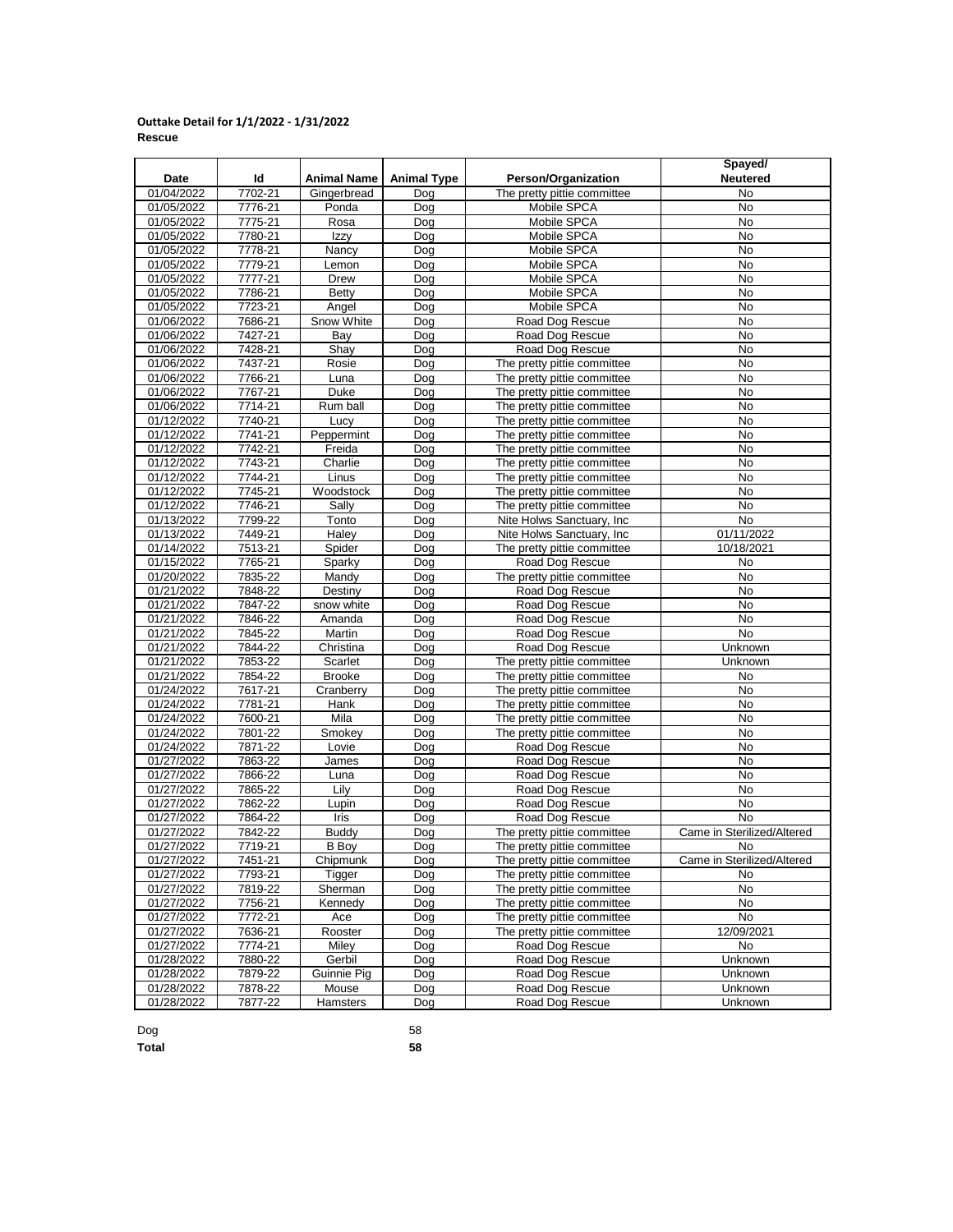### **Outtake Detail for 1/1/2022 - 1/31/2022 Rescue**

|            |             |                    |                    |                             | Spayed/                    |
|------------|-------------|--------------------|--------------------|-----------------------------|----------------------------|
| Date       | ld          | <b>Animal Name</b> | <b>Animal Type</b> | Person/Organization         | <b>Neutered</b>            |
| 01/04/2022 | 7702-21     | Gingerbread        | Dog                | The pretty pittie committee | No                         |
| 01/05/2022 | 7776-21     | Ponda              | Dog                | Mobile SPCA                 | No                         |
| 01/05/2022 | 7775-21     | Rosa               | Dog                | Mobile SPCA                 | No                         |
| 01/05/2022 | 7780-21     | Izzy               | Dog                | Mobile SPCA                 | No                         |
| 01/05/2022 | 7778-21     | Nancy              | Dog                | Mobile SPCA                 | No                         |
| 01/05/2022 | 7779-21     | Lemon              | Dog                | Mobile SPCA                 | No                         |
| 01/05/2022 | 7777-21     | Drew               | Dog                | Mobile SPCA                 | No                         |
| 01/05/2022 | 7786-21     | Betty              | Dog                | Mobile SPCA                 | No                         |
| 01/05/2022 | 7723-21     | Angel              | Dog                | Mobile SPCA                 | No                         |
| 01/06/2022 | 7686-21     | Snow White         | Dog                | Road Dog Rescue             | No                         |
| 01/06/2022 | 7427-21     | Bay                | Dog                | Road Dog Rescue             | No                         |
| 01/06/2022 | 7428-21     | Shay               | Dog                | Road Dog Rescue             | No                         |
| 01/06/2022 | 7437-21     | Rosie              | Dog                | The pretty pittie committee | No                         |
| 01/06/2022 | 7766-21     | Luna               | Dog                | The pretty pittie committee | No                         |
| 01/06/2022 | 7767-21     | Duke               | Dog                | The pretty pittie committee | No                         |
| 01/06/2022 | 7714-21     | Rum ball           | Dog                | The pretty pittie committee | No                         |
| 01/12/2022 | 7740-21     | Lucy               | Dog                | The pretty pittie committee | No                         |
| 01/12/2022 | 7741-21     | Peppermint         | Dog                | The pretty pittie committee | No                         |
| 01/12/2022 | 7742-21     | Freida             | Dog                | The pretty pittie committee | No                         |
| 01/12/2022 | 7743-21     | Charlie            | Dog                | The pretty pittie committee | No                         |
| 01/12/2022 | 7744-21     | Linus              | Dog                | The pretty pittie committee | No                         |
| 01/12/2022 | 7745-21     | Woodstock          | Dog                | The pretty pittie committee | No                         |
| 01/12/2022 | $7746 - 21$ | Sally              | Dog                | The pretty pittie committee | No                         |
| 01/13/2022 | 7799-22     | Tonto              | Dog                | Nite Holws Sanctuary, Inc   | No                         |
| 01/13/2022 | 7449-21     | Haley              | Dog                | Nite Holws Sanctuary, Inc.  | 01/11/2022                 |
| 01/14/2022 | 7513-21     | Spider             | Dog                | The pretty pittie committee | 10/18/2021                 |
| 01/15/2022 | 7765-21     | Sparky             | Dog                | Road Dog Rescue             | No                         |
| 01/20/2022 | 7835-22     | Mandy              | Dog                | The pretty pittie committee | No                         |
| 01/21/2022 | 7848-22     | Destiny            | Dog                | Road Dog Rescue             | No                         |
| 01/21/2022 | 7847-22     | snow white         | Dog                | Road Dog Rescue             | No                         |
| 01/21/2022 | 7846-22     | Amanda             | Dog                | Road Dog Rescue             | No                         |
| 01/21/2022 | 7845-22     | Martin             | Dog                | Road Dog Rescue             | No                         |
| 01/21/2022 | 7844-22     | Christina          | Dog                | Road Dog Rescue             | Unknown                    |
| 01/21/2022 | 7853-22     | Scarlet            | Dog                | The pretty pittie committee | Unknown                    |
| 01/21/2022 | 7854-22     | <b>Brooke</b>      | Dog                | The pretty pittie committee | No                         |
| 01/24/2022 | 7617-21     | Cranberry          | Dog                | The pretty pittie committee | No                         |
| 01/24/2022 | 7781-21     | Hank               | Doq                | The pretty pittie committee | No                         |
| 01/24/2022 | 7600-21     | Mila               | Dog                | The pretty pittie committee | No                         |
| 01/24/2022 | 7801-22     | Smokey             | Dog                | The pretty pittie committee | No                         |
| 01/24/2022 | 7871-22     | Lovie              | Dog                | Road Dog Rescue             | No                         |
| 01/27/2022 | 7863-22     | James              | Dog                | Road Dog Rescue             | No                         |
| 01/27/2022 | 7866-22     | Luna               | Dog                | Road Dog Rescue             | No                         |
| 01/27/2022 | 7865-22     | Lily               | Dog                | Road Dog Rescue             | <b>No</b>                  |
| 01/27/2022 | 7862-22     | Lupin              | Dog                | Road Dog Rescue             | No                         |
| 01/27/2022 | 7864-22     | Iris               | Dog                | Road Dog Rescue             | <b>No</b>                  |
| 01/27/2022 | 7842-22     | <b>Buddy</b>       | Dog                | The pretty pittie committee | Came in Sterilized/Altered |
| 01/27/2022 | 7719-21     | <b>B</b> Boy       | Dog                | The pretty pittie committee | No                         |
| 01/27/2022 | 7451-21     | Chipmunk           | Dog                | The pretty pittie committee | Came in Sterilized/Altered |
| 01/27/2022 | 7793-21     | Tigger             | Dog                | The pretty pittie committee | No                         |
| 01/27/2022 | 7819-22     | Sherman            | Dog                | The pretty pittie committee | No                         |
| 01/27/2022 | 7756-21     | Kennedy            | Dog                | The pretty pittie committee | No                         |
| 01/27/2022 | 7772-21     | Ace                | Dog                | The pretty pittie committee | No                         |
| 01/27/2022 | 7636-21     | Rooster            | Dog                | The pretty pittie committee | 12/09/2021                 |
| 01/27/2022 | 7774-21     | Miley              | Dog                | Road Dog Rescue             | No                         |
| 01/28/2022 | 7880-22     | Gerbil             | Dog                | Road Dog Rescue             | Unknown                    |
| 01/28/2022 | 7879-22     | Guinnie Pig        | Dog                | Road Dog Rescue             | Unknown                    |
| 01/28/2022 | 7878-22     | Mouse              | Dog                | Road Dog Rescue             | Unknown                    |
| 01/28/2022 | 7877-22     | Hamsters           | Dog                | Road Dog Rescue             | Unknown                    |

Dog 58

**Total 58**